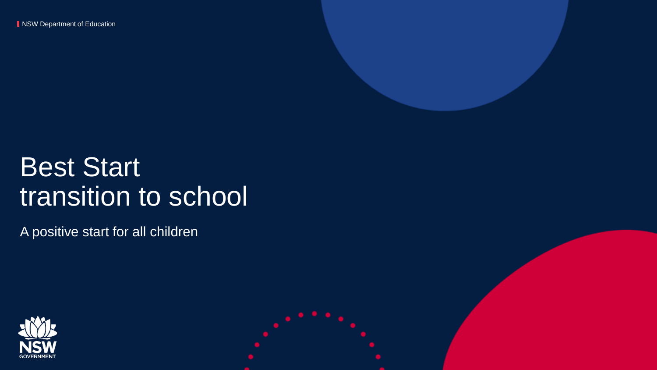**NSW Department of Education** 



# Best Start transition to school

A positive start for all children

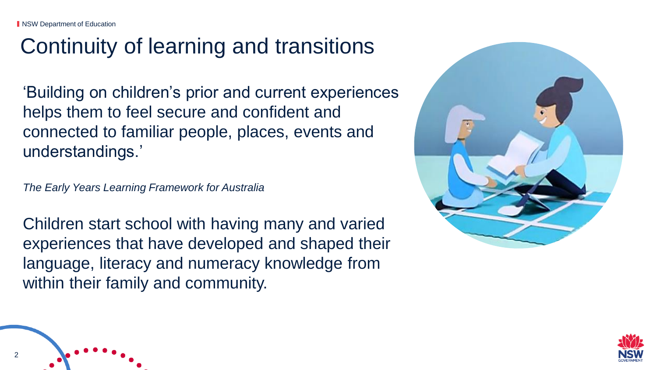2

# Continuity of learning and transitions

'Building on children's prior and current experiences helps them to feel secure and confident and connected to familiar people, places, events and understandings.'

*The Early Years Learning Framework for Australia*

Children start school with having many and varied experiences that have developed and shaped their language, literacy and numeracy knowledge from within their family and community.



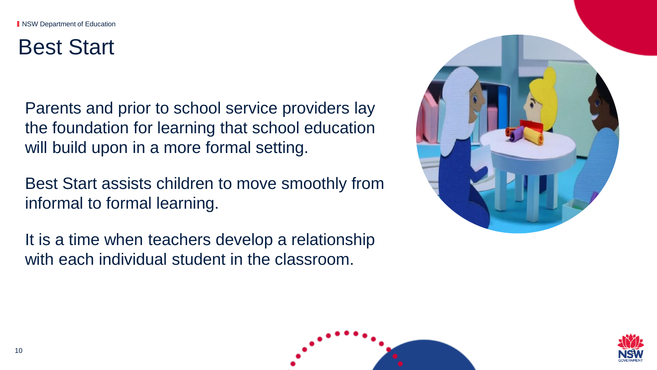### Best Start

Parents and prior to school service providers lay the foundation for learning that school education will build upon in a more formal setting.

Best Start assists children to move smoothly from informal to formal learning.

It is a time when teachers develop a relationship with each individual student in the classroom.





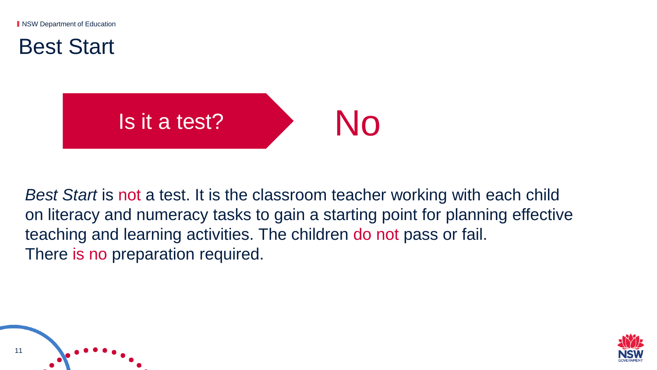**NSW Department of Education** 

Best Start



*Best Start* is not a test. It is the classroom teacher working with each child on literacy and numeracy tasks to gain a starting point for planning effective teaching and learning activities. The children do not pass or fail. There is no preparation required.



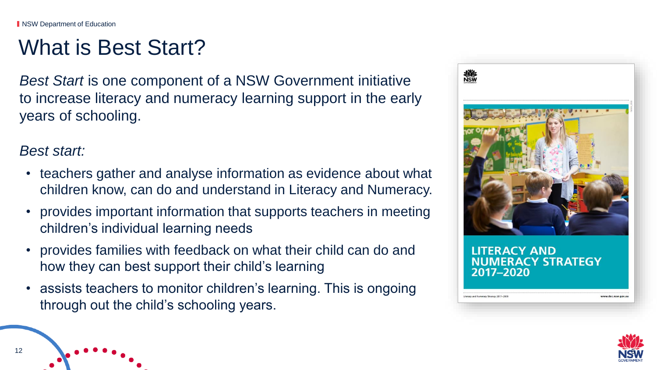#### What is Best Start?

*Best Start* is one component of a NSW Government initiative to increase literacy and numeracy learning support in the early years of schooling.

*Best start:*

- teachers gather and analyse information as evidence about what children know, can do and understand in Literacy and Numeracy.
- provides important information that supports teachers in meeting children's individual learning needs
- provides families with feedback on what their child can do and how they can best support their child's learning
- assists teachers to monitor children's learning. This is ongoing through out the child's schooling years.



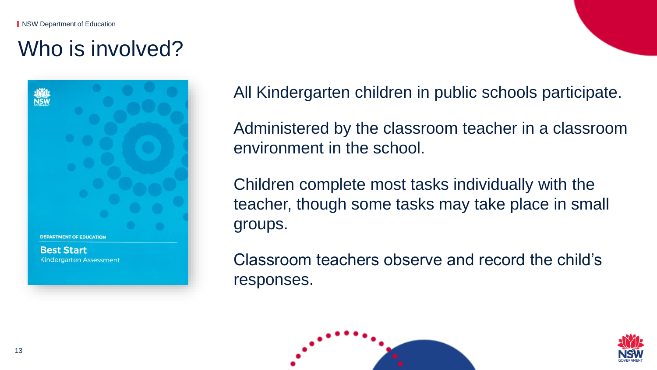# Who is involved?



All Kindergarten children in public schools participate.

Administered by the classroom teacher in a classroom environment in the school.

Children complete most tasks individually with the teacher, though some tasks may take place in small groups.

Classroom teachers observe and record the child's responses.



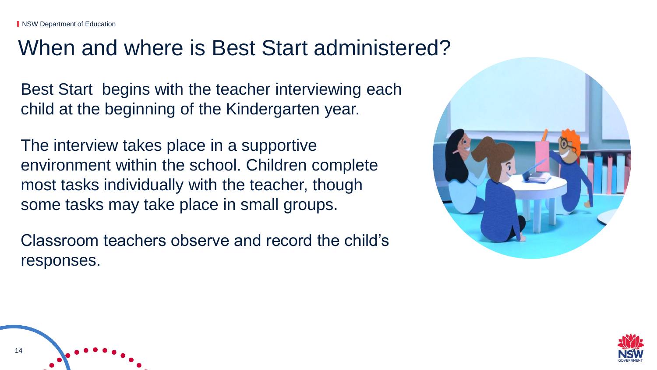#### When and where is Best Start administered?

Best Start begins with the teacher interviewing each child at the beginning of the Kindergarten year.

The interview takes place in a supportive environment within the school. Children complete most tasks individually with the teacher, though some tasks may take place in small groups.

Classroom teachers observe and record the child's responses.





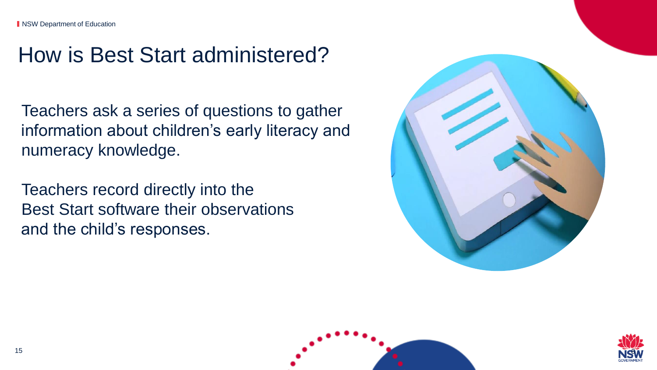### How is Best Start administered?

Teachers ask a series of questions to gather information about children's early literacy and numeracy knowledge.

Teachers record directly into the Best Start software their observations and the child's responses.





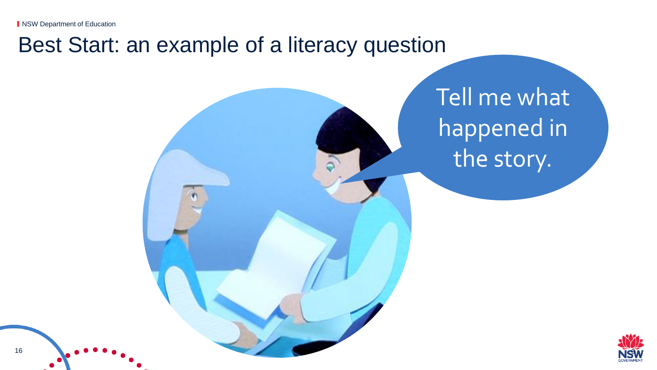**NSW Department of Education** 

#### Best Start: an example of a literacy question

Tell me what happened in the story.

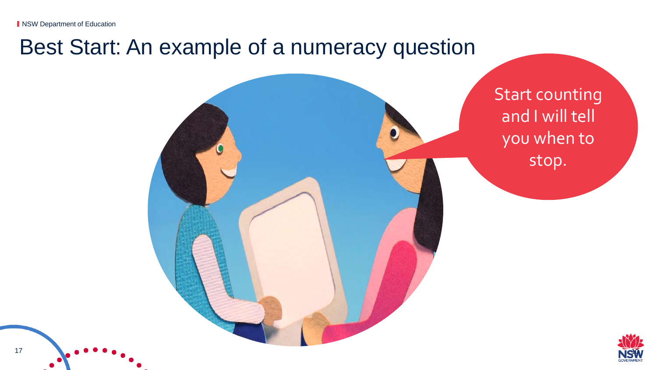17

#### Best Start: An example of a numeracy question



Start counting

and I will tell

you when to

stop.